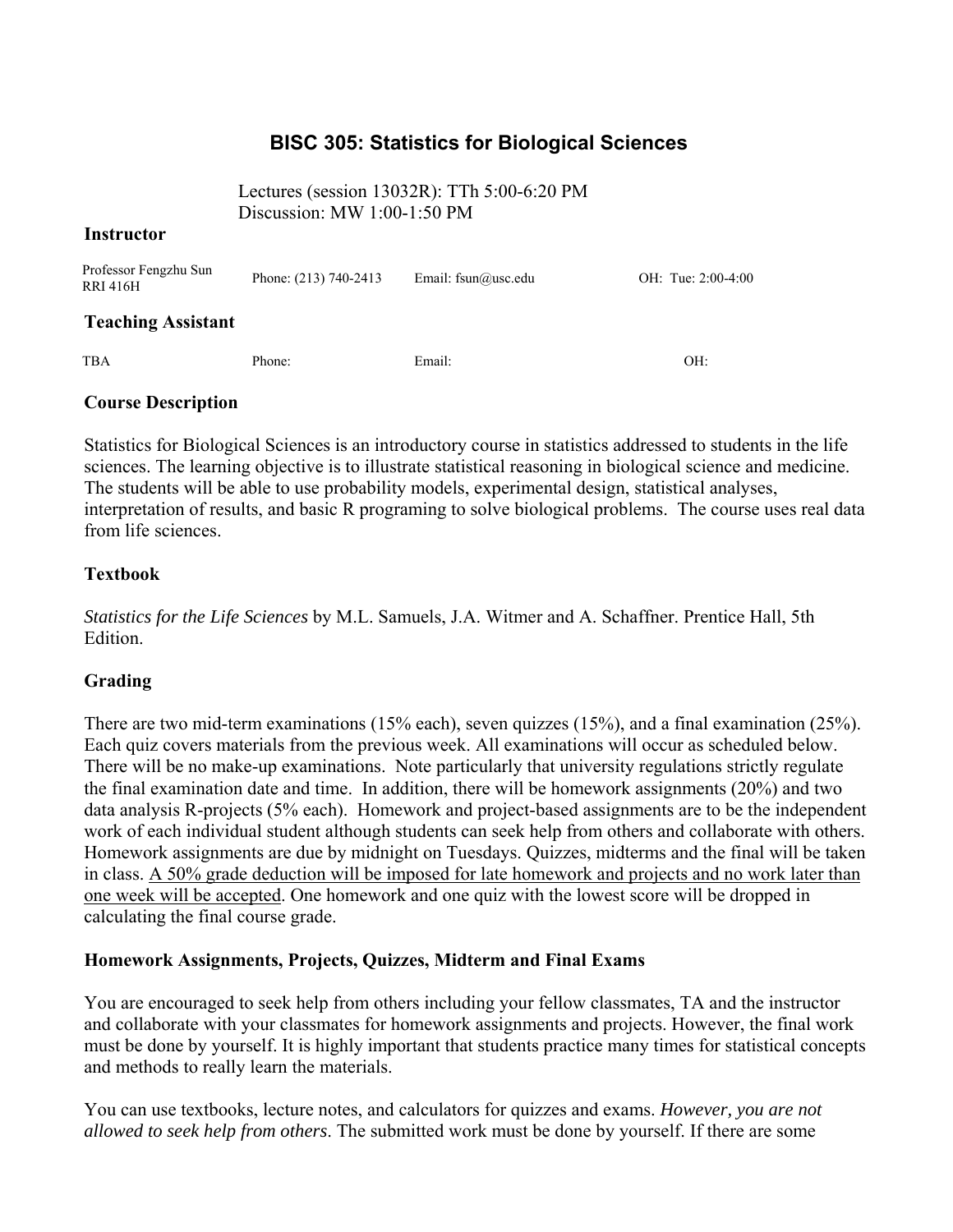# **BISC 305: Statistics for Biological Sciences**

 Lectures (session 13032R): TTh 5:00-6:20 PM Discussion: MW 1:00-1:50 PM

| Professor Fengzhu Sun<br><b>RRI 416H</b> | Phone: (213) 740-2413 | Email: fsun $@$ usc.edu | OH: Tue: 2:00-4:00 |
|------------------------------------------|-----------------------|-------------------------|--------------------|
| <b>Teaching Assistant</b>                |                       |                         |                    |
| TBA                                      | Phone:                | Email:                  | OH:                |

## **Course Description**

Statistics for Biological Sciences is an introductory course in statistics addressed to students in the life sciences. The learning objective is to illustrate statistical reasoning in biological science and medicine. The students will be able to use probability models, experimental design, statistical analyses, interpretation of results, and basic R programing to solve biological problems. The course uses real data from life sciences.

## **Textbook**

*Statistics for the Life Sciences* by M.L. Samuels, J.A. Witmer and A. Schaffner. Prentice Hall, 5th Edition.

## **Grading**

There are two mid-term examinations (15% each), seven quizzes (15%), and a final examination (25%). Each quiz covers materials from the previous week. All examinations will occur as scheduled below. There will be no make-up examinations. Note particularly that university regulations strictly regulate the final examination date and time. In addition, there will be homework assignments (20%) and two data analysis R-projects (5% each). Homework and project-based assignments are to be the independent work of each individual student although students can seek help from others and collaborate with others. Homework assignments are due by midnight on Tuesdays. Quizzes, midterms and the final will be taken in class. A 50% grade deduction will be imposed for late homework and projects and no work later than one week will be accepted. One homework and one quiz with the lowest score will be dropped in calculating the final course grade.

## **Homework Assignments, Projects, Quizzes, Midterm and Final Exams**

You are encouraged to seek help from others including your fellow classmates, TA and the instructor and collaborate with your classmates for homework assignments and projects. However, the final work must be done by yourself. It is highly important that students practice many times for statistical concepts and methods to really learn the materials.

You can use textbooks, lecture notes, and calculators for quizzes and exams. *However, you are not allowed to seek help from others*. The submitted work must be done by yourself. If there are some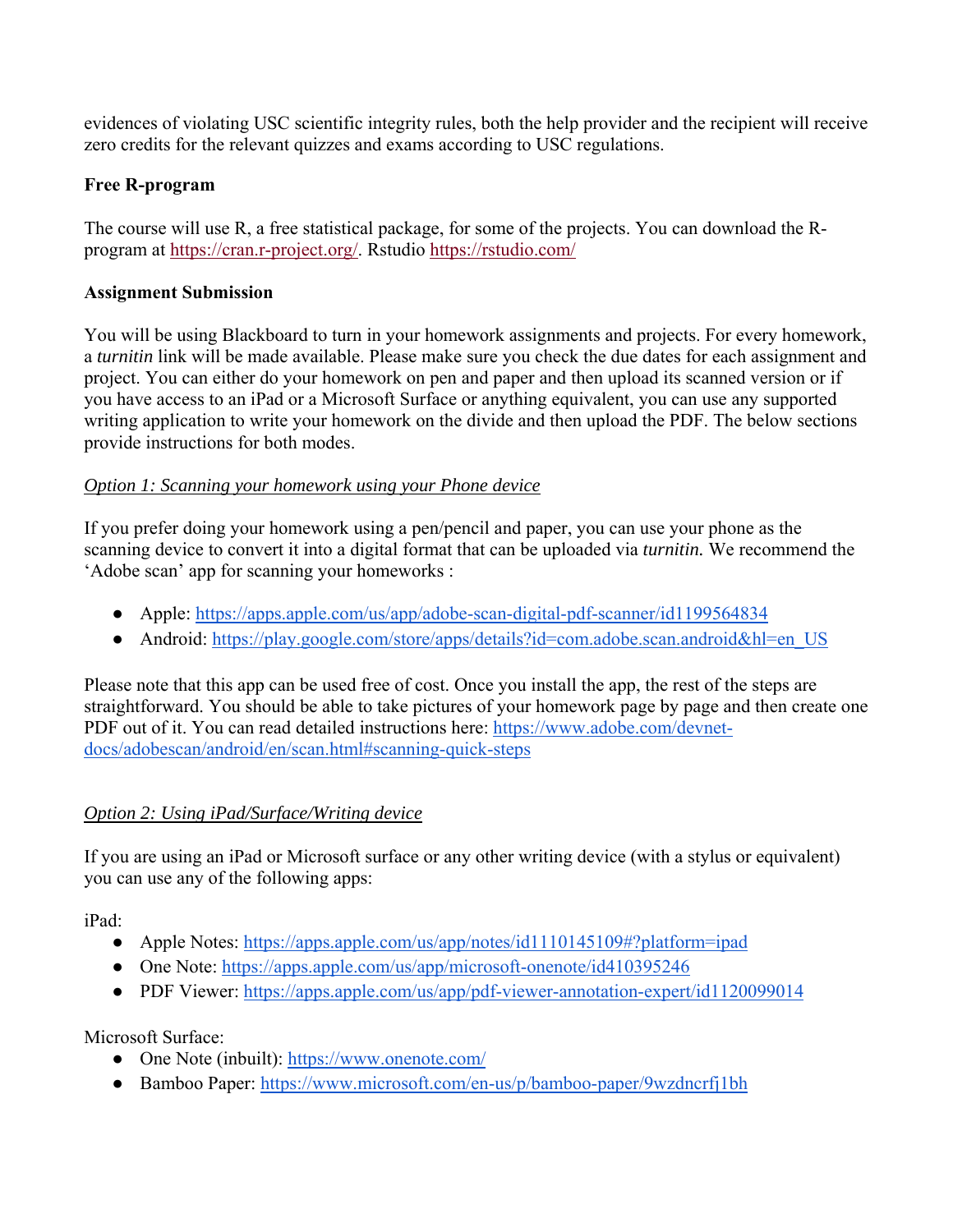evidences of violating USC scientific integrity rules, both the help provider and the recipient will receive zero credits for the relevant quizzes and exams according to USC regulations.

# **Free R-program**

The course will use R, a free statistical package, for some of the projects. You can download the Rprogram at https://cran.r-project.org/. Rstudio https://rstudio.com/

# **Assignment Submission**

You will be using Blackboard to turn in your homework assignments and projects. For every homework, a *turnitin* link will be made available. Please make sure you check the due dates for each assignment and project. You can either do your homework on pen and paper and then upload its scanned version or if you have access to an iPad or a Microsoft Surface or anything equivalent, you can use any supported writing application to write your homework on the divide and then upload the PDF. The below sections provide instructions for both modes.

# *Option 1: Scanning your homework using your Phone device*

If you prefer doing your homework using a pen/pencil and paper, you can use your phone as the scanning device to convert it into a digital format that can be uploaded via *turnitin.* We recommend the 'Adobe scan' app for scanning your homeworks :

- Apple: https://apps.apple.com/us/app/adobe-scan-digital-pdf-scanner/id1199564834
- Android: https://play.google.com/store/apps/details?id=com.adobe.scan.android&hl=en\_US

Please note that this app can be used free of cost. Once you install the app, the rest of the steps are straightforward. You should be able to take pictures of your homework page by page and then create one PDF out of it. You can read detailed instructions here: https://www.adobe.com/devnetdocs/adobescan/android/en/scan.html#scanning-quick-steps

# *Option 2: Using iPad/Surface/Writing device*

If you are using an iPad or Microsoft surface or any other writing device (with a stylus or equivalent) you can use any of the following apps:

iPad:

- Apple Notes: https://apps.apple.com/us/app/notes/id1110145109#?platform=ipad
- One Note: https://apps.apple.com/us/app/microsoft-onenote/id410395246
- PDF Viewer: https://apps.apple.com/us/app/pdf-viewer-annotation-expert/id1120099014

Microsoft Surface:

- One Note (inbuilt): https://www.onenote.com/
- Bamboo Paper: https://www.microsoft.com/en-us/p/bamboo-paper/9wzdncrfj1bh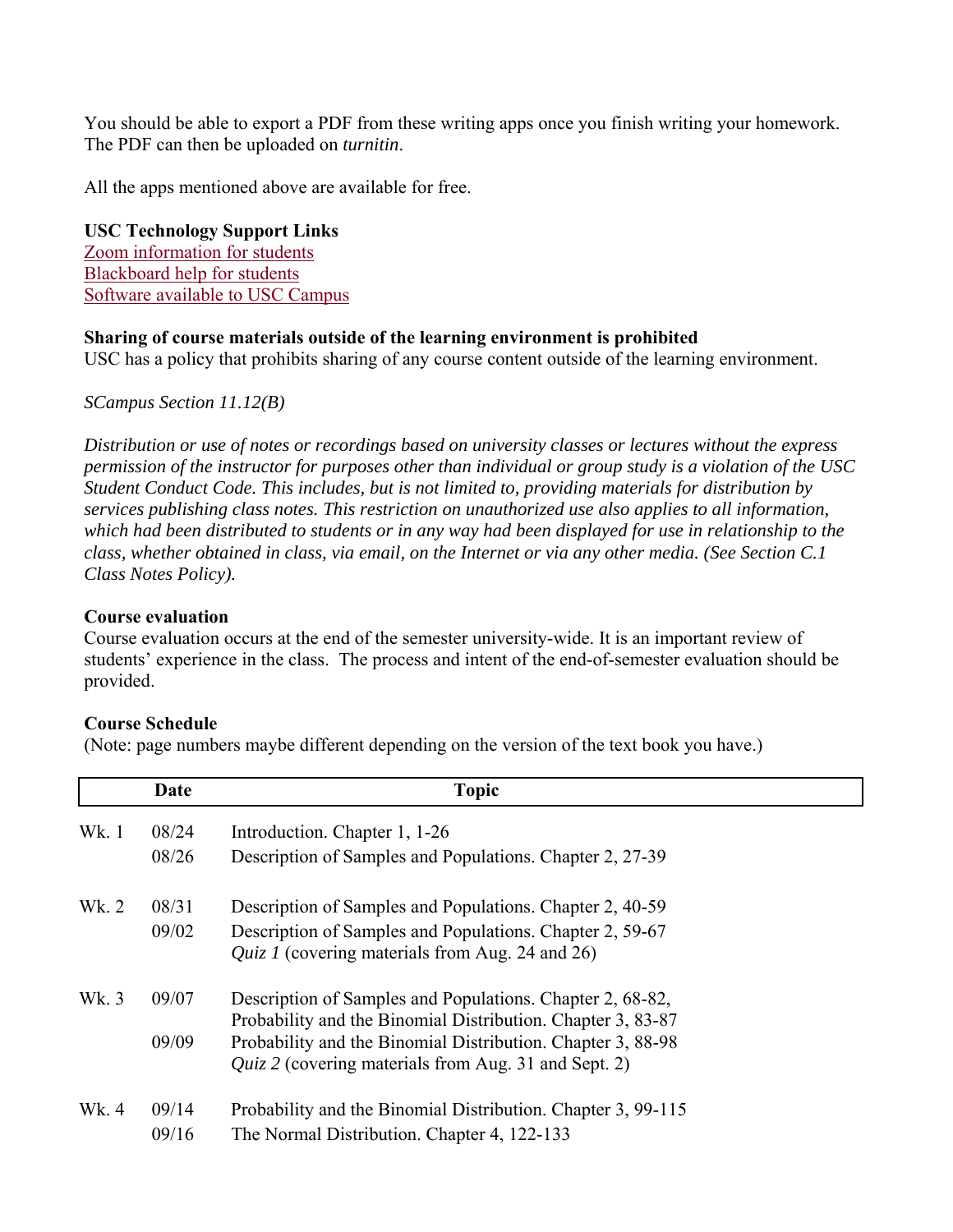You should be able to export a PDF from these writing apps once you finish writing your homework. The PDF can then be uploaded on *turnitin*.

All the apps mentioned above are available for free.

**USC Technology Support Links**  Zoom information for students Blackboard help for students Software available to USC Campus

## **Sharing of course materials outside of the learning environment is prohibited**

USC has a policy that prohibits sharing of any course content outside of the learning environment.

*SCampus Section 11.12(B)* 

*Distribution or use of notes or recordings based on university classes or lectures without the express permission of the instructor for purposes other than individual or group study is a violation of the USC Student Conduct Code. This includes, but is not limited to, providing materials for distribution by services publishing class notes. This restriction on unauthorized use also applies to all information, which had been distributed to students or in any way had been displayed for use in relationship to the class, whether obtained in class, via email, on the Internet or via any other media. (See Section C.1 Class Notes Policy).*

## **Course evaluation**

Course evaluation occurs at the end of the semester university-wide. It is an important review of students' experience in the class. The process and intent of the end-of-semester evaluation should be provided.

## **Course Schedule**

(Note: page numbers maybe different depending on the version of the text book you have.)

|       | Date  | <b>Topic</b>                                                                                                               |
|-------|-------|----------------------------------------------------------------------------------------------------------------------------|
| Wk. 1 | 08/24 | Introduction. Chapter 1, 1-26                                                                                              |
|       | 08/26 | Description of Samples and Populations. Chapter 2, 27-39                                                                   |
| Wk. 2 | 08/31 | Description of Samples and Populations. Chapter 2, 40-59                                                                   |
|       | 09/02 | Description of Samples and Populations. Chapter 2, 59-67<br><i>Quiz 1</i> (covering materials from Aug. 24 and 26)         |
| Wk. 3 | 09/07 | Description of Samples and Populations. Chapter 2, 68-82,<br>Probability and the Binomial Distribution. Chapter 3, 83-87   |
|       | 09/09 | Probability and the Binomial Distribution. Chapter 3, 88-98<br><i>Quiz</i> 2 (covering materials from Aug. 31 and Sept. 2) |
| Wk. 4 | 09/14 | Probability and the Binomial Distribution. Chapter 3, 99-115                                                               |
|       | 09/16 | The Normal Distribution. Chapter 4, 122-133                                                                                |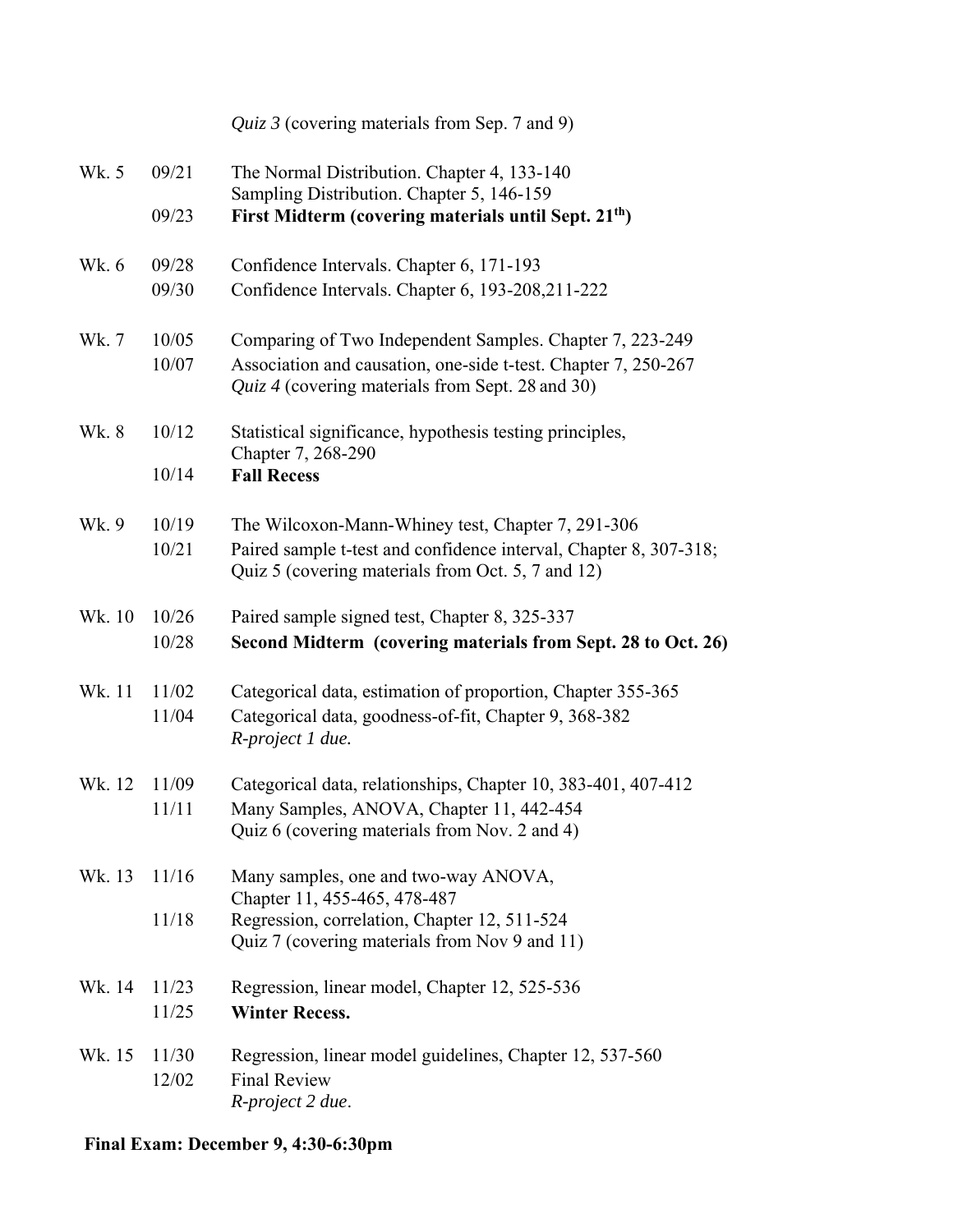|        |                | <i>Quiz 3</i> (covering materials from Sep. 7 and 9)                                                                                                                                  |
|--------|----------------|---------------------------------------------------------------------------------------------------------------------------------------------------------------------------------------|
| Wk. 5  | 09/21          | The Normal Distribution. Chapter 4, 133-140<br>Sampling Distribution. Chapter 5, 146-159                                                                                              |
|        | 09/23          | First Midterm (covering materials until Sept. 21 <sup>th</sup> )                                                                                                                      |
| Wk. 6  | 09/28          | Confidence Intervals. Chapter 6, 171-193                                                                                                                                              |
|        | 09/30          | Confidence Intervals. Chapter 6, 193-208, 211-222                                                                                                                                     |
| Wk. 7  | 10/05<br>10/07 | Comparing of Two Independent Samples. Chapter 7, 223-249<br>Association and causation, one-side t-test. Chapter 7, 250-267<br><i>Quiz 4</i> (covering materials from Sept. 28 and 30) |
| Wk. 8  | 10/12          | Statistical significance, hypothesis testing principles,<br>Chapter 7, 268-290                                                                                                        |
|        | 10/14          | <b>Fall Recess</b>                                                                                                                                                                    |
| Wk. 9  | 10/19          | The Wilcoxon-Mann-Whiney test, Chapter 7, 291-306                                                                                                                                     |
|        | 10/21          | Paired sample t-test and confidence interval, Chapter 8, 307-318;<br>Quiz 5 (covering materials from Oct. 5, 7 and 12)                                                                |
| Wk. 10 | 10/26          | Paired sample signed test, Chapter 8, 325-337                                                                                                                                         |
|        | 10/28          | Second Midterm (covering materials from Sept. 28 to Oct. 26)                                                                                                                          |
| Wk. 11 | 11/02          | Categorical data, estimation of proportion, Chapter 355-365                                                                                                                           |
|        | 11/04          | Categorical data, goodness-of-fit, Chapter 9, 368-382<br>R-project 1 due.                                                                                                             |
| Wk. 12 | 11/09          | Categorical data, relationships, Chapter 10, 383-401, 407-412                                                                                                                         |
|        | 11/11          | Many Samples, ANOVA, Chapter 11, 442-454<br>Quiz 6 (covering materials from Nov. 2 and 4)                                                                                             |
| Wk. 13 | 11/16          | Many samples, one and two-way ANOVA,<br>Chapter 11, 455-465, 478-487                                                                                                                  |
|        | 11/18          | Regression, correlation, Chapter 12, 511-524<br>Quiz 7 (covering materials from Nov 9 and 11)                                                                                         |
| Wk. 14 | 11/23          | Regression, linear model, Chapter 12, 525-536                                                                                                                                         |
|        | 11/25          | <b>Winter Recess.</b>                                                                                                                                                                 |
| Wk. 15 | 11/30<br>12/02 | Regression, linear model guidelines, Chapter 12, 537-560<br><b>Final Review</b>                                                                                                       |
|        |                | R-project 2 due.                                                                                                                                                                      |

# **Final Exam: December 9, 4:30-6:30pm**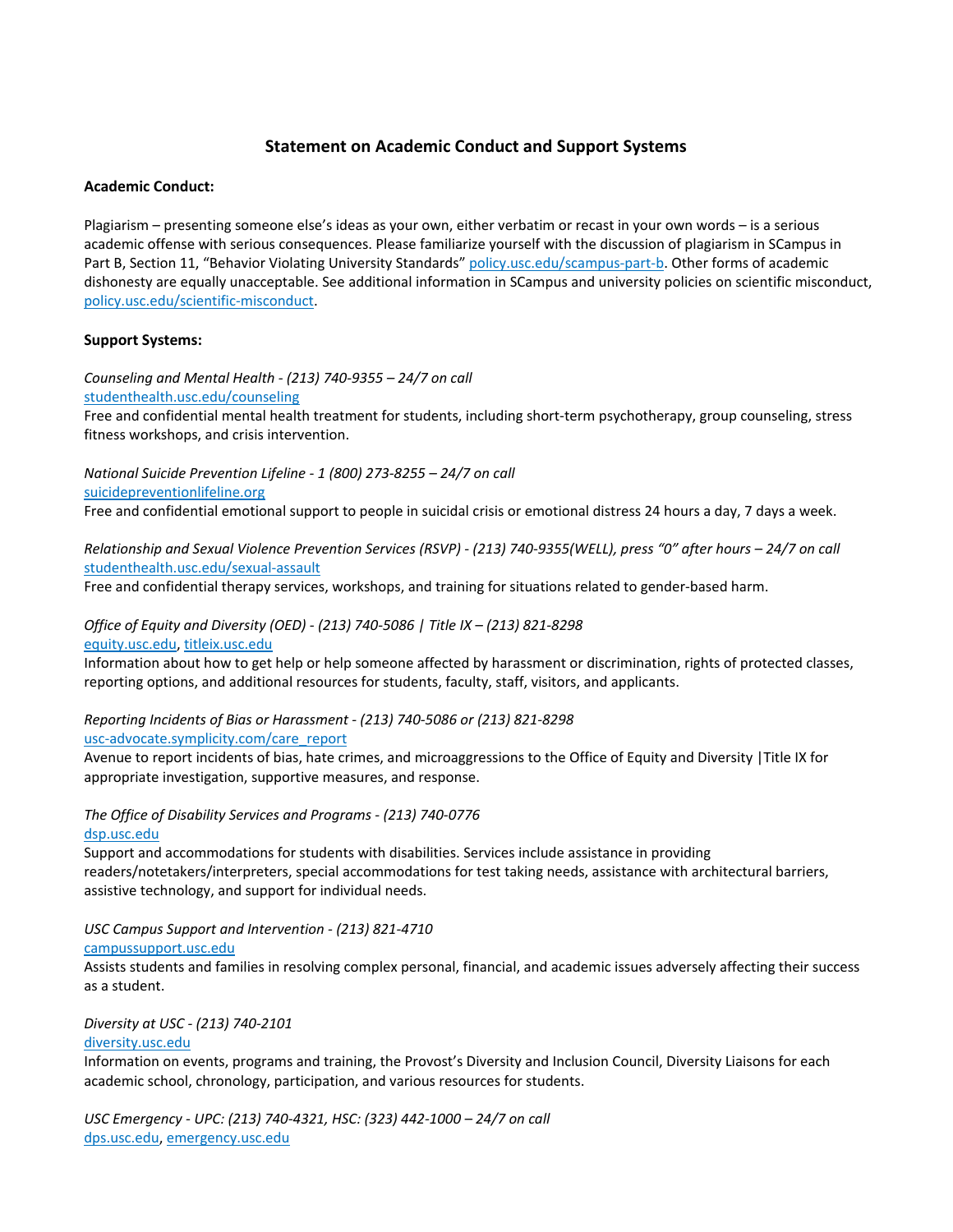## **Statement on Academic Conduct and Support Systems**

#### **Academic Conduct:**

Plagiarism – presenting someone else's ideas as your own, either verbatim or recast in your own words – is a serious academic offense with serious consequences. Please familiarize yourself with the discussion of plagiarism in SCampus in Part B, Section 11, "Behavior Violating University Standards" policy.usc.edu/scampus-part-b. Other forms of academic dishonesty are equally unacceptable. See additional information in SCampus and university policies on scientific misconduct, policy.usc.edu/scientific‐misconduct.

### **Support Systems:**

*Counseling and Mental Health ‐ (213) 740‐9355 – 24/7 on call*  studenthealth.usc.edu/counseling

Free and confidential mental health treatment for students, including short-term psychotherapy, group counseling, stress fitness workshops, and crisis intervention.

*National Suicide Prevention Lifeline ‐ 1 (800) 273‐8255 – 24/7 on call*  suicidepreventionlifeline.org

Free and confidential emotional support to people in suicidal crisis or emotional distress 24 hours a day, 7 days a week.

### *Relationship and Sexual Violence Prevention Services (RSVP) ‐ (213) 740‐9355(WELL), press "0" after hours – 24/7 on call*  studenthealth.usc.edu/sexual‐assault

Free and confidential therapy services, workshops, and training for situations related to gender‐based harm.

#### *Office of Equity and Diversity (OED) ‐ (213) 740‐5086 | Title IX – (213) 821‐8298*  equity.usc.edu, titleix.usc.edu

Information about how to get help or help someone affected by harassment or discrimination, rights of protected classes, reporting options, and additional resources for students, faculty, staff, visitors, and applicants.

### *Reporting Incidents of Bias or Harassment ‐ (213) 740‐5086 or (213) 821‐8298*

#### usc-advocate.symplicity.com/care\_report

Avenue to report incidents of bias, hate crimes, and microaggressions to the Office of Equity and Diversity |Title IX for appropriate investigation, supportive measures, and response.

#### *The Office of Disability Services and Programs ‐ (213) 740‐0776* dsp.usc.edu

Support and accommodations for students with disabilities. Services include assistance in providing readers/notetakers/interpreters, special accommodations for test taking needs, assistance with architectural barriers, assistive technology, and support for individual needs.

*USC Campus Support and Intervention ‐ (213) 821‐4710* 

#### campussupport.usc.edu

Assists students and families in resolving complex personal, financial, and academic issues adversely affecting their success as a student.

## *Diversity at USC ‐ (213) 740‐2101*

### diversity.usc.edu

Information on events, programs and training, the Provost's Diversity and Inclusion Council, Diversity Liaisons for each academic school, chronology, participation, and various resources for students.

*USC Emergency ‐ UPC: (213) 740‐4321, HSC: (323) 442‐1000 – 24/7 on call*  dps.usc.edu, emergency.usc.edu